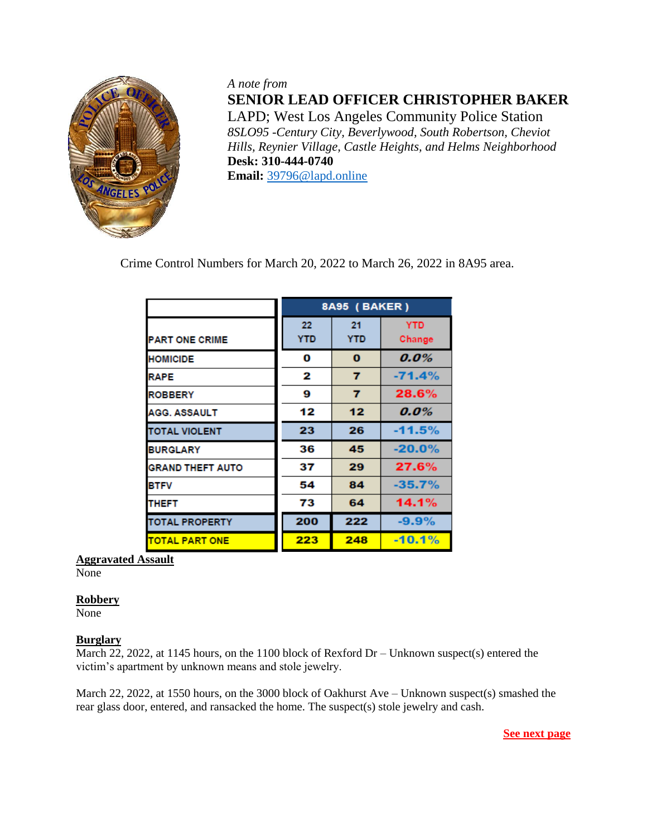

*A note from* **SENIOR LEAD OFFICER CHRISTOPHER BAKER** LAPD; West Los Angeles Community Police Station *8SLO95 -Century City, Beverlywood, South Robertson, Cheviot Hills, Reynier Village, Castle Heights, and Helms Neighborhood*   **Desk: 310-444-0740 Email:** [39796@lapd.online](mailto:39796@lapd.online)

Crime Control Numbers for March 20, 2022 to March 26, 2022 in 8A95 area.

|                         | 8A95 (BAKER)     |                  |                      |
|-------------------------|------------------|------------------|----------------------|
| <b>PART ONE CRIME</b>   | 22<br><b>YTD</b> | 21<br><b>YTD</b> | <b>YTD</b><br>Change |
| <b>HOMICIDE</b>         | 0                | $\bf{0}$         | 0.0%                 |
| <b>RAPE</b>             | 2                | 7                | $-71.4%$             |
| <b>ROBBERY</b>          | 9                | 7                | 28.6%                |
| <b>AGG. ASSAULT</b>     | 12               | 12               | $0.0\%$              |
| <b>TOTAL VIOLENT</b>    | 23               | 26               | $-11.5%$             |
| <b>BURGLARY</b>         | 36               | 45               | $-20.0%$             |
| <b>GRAND THEFT AUTO</b> | 37               | 29               | 27.6%                |
| <b>BTFV</b>             | 54               | 84               | $-35.7%$             |
| <b>THEFT</b>            | 73               | 64               | 14.1%                |
| <b>TOTAL PROPERTY</b>   | 200              | 222              | $-9.9%$              |
| <b>TOTAL PART ONE</b>   | 223              | 248              | $-10.1%$             |

# **Aggravated Assault**

None

### **Robbery**

None

# **Burglary**

March 22, 2022, at 1145 hours, on the 1100 block of Rexford Dr – Unknown suspect(s) entered the victim's apartment by unknown means and stole jewelry.

March 22, 2022, at 1550 hours, on the 3000 block of Oakhurst Ave – Unknown suspect(s) smashed the rear glass door, entered, and ransacked the home. The suspect(s) stole jewelry and cash.

**See next page**